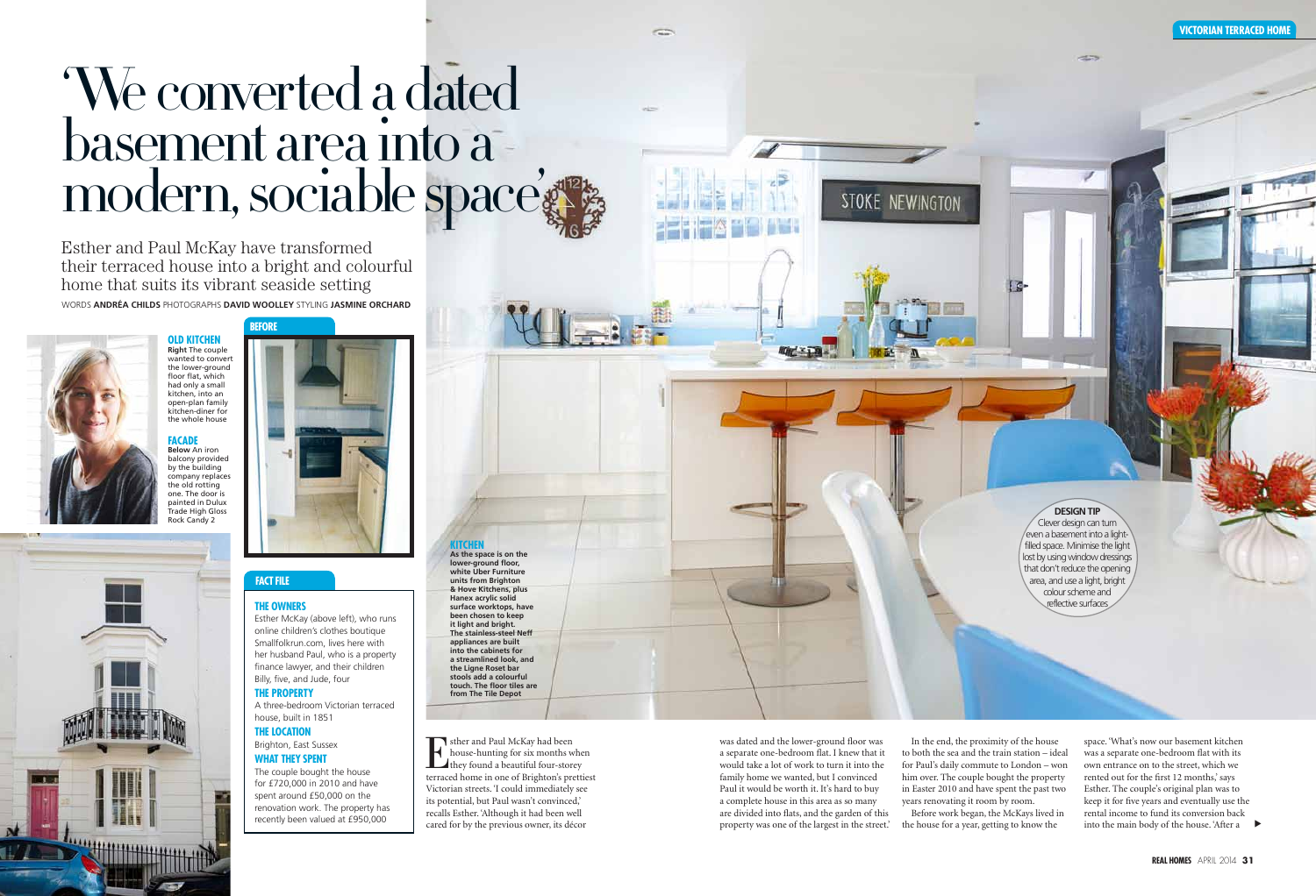They sther and Paul McKay had been<br>house-hunting for six months where they found a beautiful four-storey<br>terraced home in one of Brighton's pretti house-hunting for six months when terraced home in one of Brighton's prettiest Victorian streets. 'I could immediately see its potential, but Paul wasn't convinced,' recalls Esther. 'Although it had been well cared for by the previous owner, its décor

Words **Andréa Childs** Photographs **David Woolley** styling **jasmine orchard** Esther and Paul McKay have transformed their terraced house into a bright and colourful home that suits its vibrant seaside setting

**The Owners**

Esther McKay (above left), who runs online children's clothes boutique Smallfolkrun.com, lives here with her husband Paul, who is a property finance lawyer, and their children Billy, five, and Jude, four **The PROPERTY**

# 'We converted a dated basement area into a modern, sociable space

A three-bedroom Victorian terraced house, built in 1851

### **The LOCATION**

#### Brighton, East Sussex **WHAT THEY SPENT**

The couple bought the house for £720,000 in 2010 and have spent around £50,000 on the renovation work. The property has recently been valued at £950,000

## **fact file**

into the main body of the house. 'After a space. 'What's now our basement kitchen was a separate one-bedroom flat with its own entrance on to the street, which we rented out for the first 12 months,' says Esther. The couple's original plan was to keep it for five years and eventually use the rental income to fund its conversion back

#### **victorian terraced home**

was dated and the lower-ground floor was a separate one-bedroom flat. I knew that it would take a lot of work to turn it into the family home we wanted, but I convinced Paul it would be worth it. It's hard to buy a complete house in this area as so many are divided into flats, and the garden of this property was one of the largest in the street.'

**kitche As the space is on the lower-ground floor,** 

**before**



In the end, the proximity of the house to both the sea and the train station – ideal for Paul's daily commute to London – won him over. The couple bought the property in Easter 2010 and have spent the past two years renovating it room by room. Before work began, the McKays lived in the house for a year, getting to know the

STOKE NEWINGTON

#### **design tip**

 $\sim$ 

Clever design can turn even a basement into a lightfilled space. Minimise the light lost by using window dressings that don't reduce the opening area, and use a light, bright colour scheme and reflective surfaces

**old kitchen Right** The couple wanted to convert the lower-ground floor flat, which had only a small kitchen, into an open-plan family kitchen-diner for the whole house

#### **Facade Below** An iron

balcony provided by the building company replaces the old rotting one. The door is painted in Dulux **Trade High Gloss** Rock Candy 2

> **white Uber Furniture units from Brighton & Hove Kitchens, plus Hanex acrylic solid surface worktops, have been chosen to keep it light and bright. The stainless-steel Neff appliances are built into the cabinets for a streamlined look, and the Ligne Roset bar stools add a colourful touch. The floor tiles are from The Tile Depot**

**POST**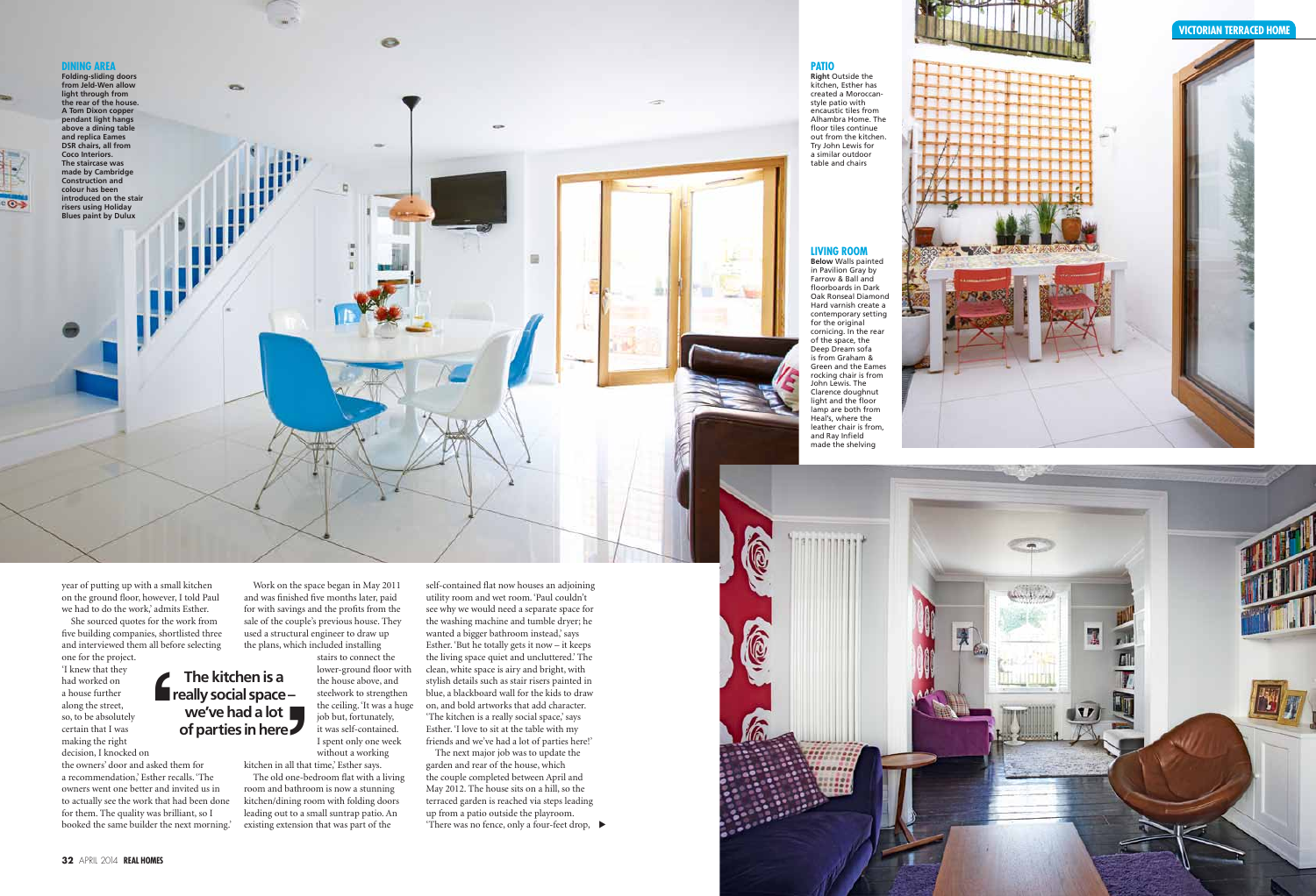

the owners' door and asked them for a recommendation,' Esther recalls. 'The owners went one better and invited us in to actually see the work that had been done for them. The quality was brilliant, so I booked the same builder the next morning.' **r**<br>sked the recent

year of putting up with a small kitchen on the ground floor, however, I told Paul we had to do the work,' admits Esther.

She sourced quotes for the work from five building companies, shortlisted three and interviewed them all before selecting one for the project.

'I knew that they had worked on a house further along the street, so, to be absolutely certain that I was making the right decision, I knocked on

garden and rear of the house, which the couple completed between April and May 2012. The house sits on a hill, so the terraced garden is reached via steps leading up from a patio outside the playroom. 'There was no fence, only a four-feet drop,  $\blacktriangleright$ 

Work on the space began in May 2011 and was finished five months later, paid for with savings and the profits from the sale of the couple's previous house. They used a structural engineer to draw up the plans, which included installing

stairs to connect the lower-ground floor with the house above, and steelwork to strengthen the ceiling. 'It was a huge

job but, fortunately, it was self-contained. I spent only one week without a working kitchen in all that time,' Esther says.



The old one-bedroom flat with a living room and bathroom is now a stunning kitchen/dining room with folding doors leading out to a small suntrap patio. An existing extension that was part of the

self-contained flat now houses an adjoining utility room and wet room. 'Paul couldn't see why we would need a separate space for the washing machine and tumble dryer; he wanted a bigger bathroom instead,' says Esther. 'But he totally gets it now – it keeps the living space quiet and uncluttered.' The clean, white space is airy and bright, with stylish details such as stair risers painted in blue, a blackboard wall for the kids to draw on, and bold artworks that add character. 'The kitchen is a really social space,' says Esther. 'I love to sit at the table with my friends and we've had a lot of parties here!' The next major job was to update the

**The kitchen is a really social space – we've had a lot of parties in here '**

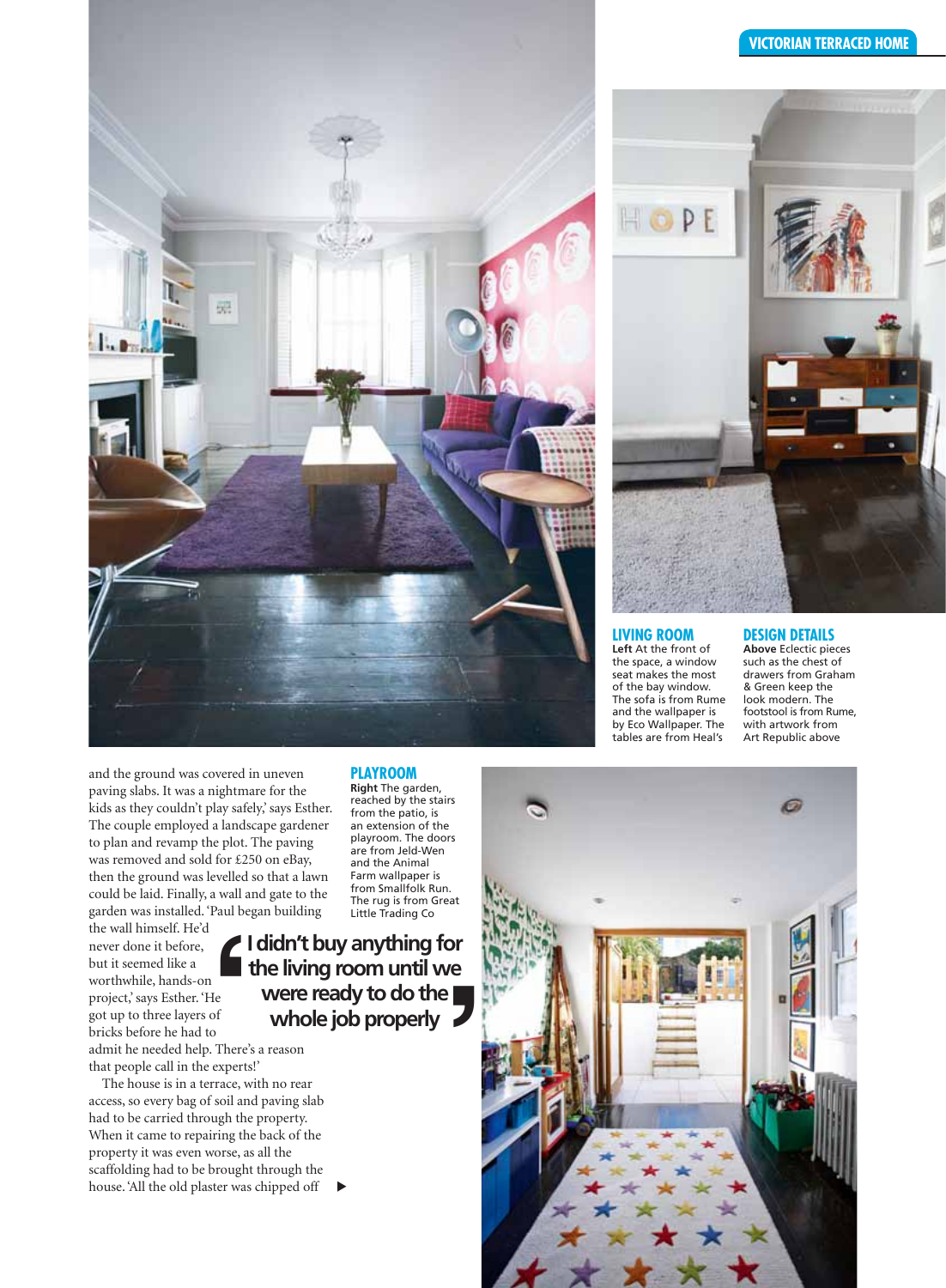

and the ground was covered in uneven paving slabs. It was a nightmare for the kids as they couldn't play safely,' says Esther. The couple employed a landscape gardener to plan and revamp the plot. The paving was removed and sold for £250 on eBay, then the ground was levelled so that a lawn could be laid. Finally, a wall and gate to the garden was installed. 'Paul began building

the wall himself. He'd never done it before, but it seemed like a worthwhile, hands-on project,' says Esther. 'He got up to three layers of bricks before he had to **'**

admit he needed help. There's a reason that people call in the experts!'

The house is in a terrace, with no rear access, so every bag of soil and paving slab had to be carried through the property. When it came to repairing the back of the property it was even worse, as all the scaffolding had to be brought through the house. 'All the old plaster was chipped off

#### **PLAYROOM playroom**

**Right** The garden, reached by the stairs from the patio, is an extension of the playroom. The doors are from Jeld-Wen and the Animal Farm wallpaper is from Smallfolk Run. The rug is from Great Little Trading Co

**I didn't buy anything for the living room until we were ready to do the Example 15**<br> **Example 15**<br> **Example 15**<br> **Example 1555 Manuforms**<br> **Coording**<br> **Coording**<br> **Coording**<br> **Coording**<br> **Coording**<br> **Coording**<br> **Coording**<br> **Coording**<br> **Coording**<br> **Coording** 

 $\blacktriangleright$ 

#### **victorian terraced home**



#### **living room**

**Left** At the front of the space, a window seat makes the most of the bay window. The sofa is from Rume and the wallpaper is by Eco Wallpaper. The tables are from Heal's

#### **design details**

**Above** Eclectic pieces such as the chest of drawers from Graham & Green keep the look modern. The footstool is from Rume, with artwork from Art Republic above

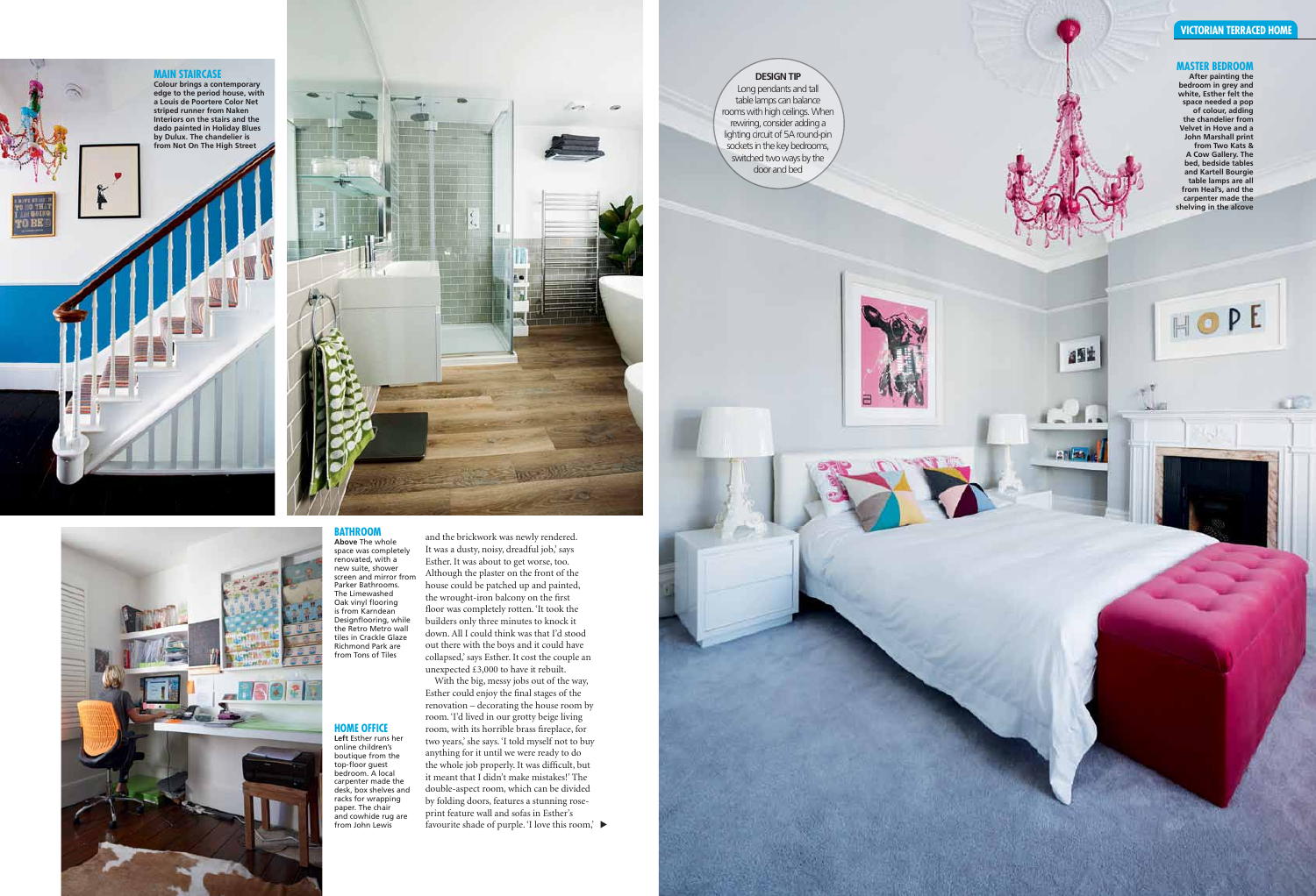



With the big, messy jobs out of the way, Esther could enjoy the final stages of the renovation – decorating the house room by room. 'I'd lived in our grotty beige living room, with its horrible brass fireplace, for two years,' she says. 'I told myself not to buy anything for it until we were ready to do the whole job properly. It was difficult, but it meant that I didn't make mistakes!' The double-aspect room, which can be divided by folding doors, features a stunning roseprint feature wall and sofas in Esther's favourite shade of purple. 'I love this room,'

and the brickwork was newly rendered. It was a dusty, noisy, dreadful job,' says Esther. It was about to get worse, too. Although the plaster on the front of the house could be patched up and painted, the wrought-iron balcony on the first floor was completely rotten. 'It took the builders only three minutes to knock it down. All I could think was that I'd stood out there with the boys and it could have collapsed,' says Esther. It cost the couple an unexpected £3,000 to have it rebuilt.

#### **BATHROOM**<br>Above The whole space was completely renovated, with a new suite, shower

screen and mirror from Parker Bathrooms. The Limewashed Oak vinyl flooring is from Karndean Designflooring, while the Retro Metro wall tiles in Crackle Glaze Richmond Park are from Tons of Tiles

**bedroom in grey and white, Esther felt the space needed a pop of colour, adding the chandelier from Velvet in Hove and a John Marshall print from Two Kats & A Cow Gallery. The bed, bedside tables and Kartell Bourgie table lamps are all from Heal's, and the carpenter made the shelving in the alcove**

HOPE

ast

27123

#### **home office Left** Esther runs her online children's boutique from the top-floor guest bedroom. A local carpenter made the desk, box shelves and racks for wrapping paper. The chair and cowhide rug are

from John Lewis

## **main staircase Colour brings a contemporary**

 $\bullet$ 

¥

**edge to the period house, with a Louis de Poortere Color Net striped runner from Naken Interiors on the stairs and the dado painted in Holiday Blues by Dulux. The chandelier is from Not On The High Street**



#### **design tip** Long pendants and tall

table lamps can balance rooms with high ceilings. When rewiring, consider adding a lighting circuit of 5A round-pin sockets in the key bedrooms, switched two ways by the door and bed



### **victorian terraced home**

## **MASTER BEDROOM**<br>After painting the